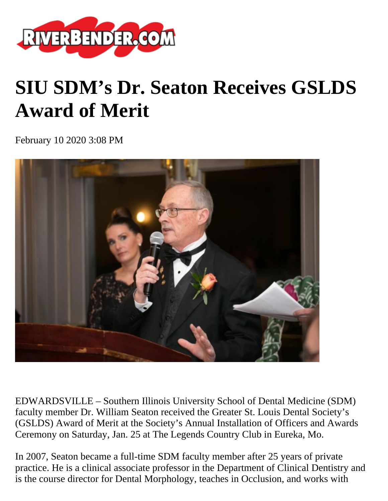

## **SIU SDM's Dr. Seaton Receives GSLDS Award of Merit**

February 10 2020 3:08 PM



EDWARDSVILLE – Southern Illinois University School of Dental Medicine (SDM) faculty member Dr. William Seaton received the Greater St. Louis Dental Society's (GSLDS) Award of Merit at the Society's Annual Installation of Officers and Awards Ceremony on Saturday, Jan. 25 at The Legends Country Club in Eureka, Mo.

In 2007, Seaton became a full-time SDM faculty member after 25 years of private practice. He is a clinical associate professor in the Department of Clinical Dentistry and is the course director for Dental Morphology, teaches in Occlusion, and works with